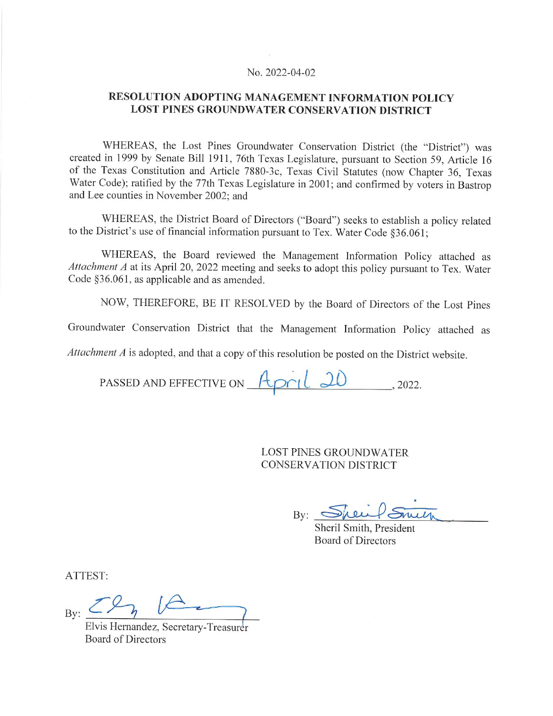#### No. 2022-04-02

#### RESOLUTION ADOPTING MANAGEMENT INFORMATION POLICY **LOST PINES GROUNDWATER CONSERVATION DISTRICT**

WHEREAS, the Lost Pines Groundwater Conservation District (the "District") was created in 1999 by Senate Bill 1911, 76th Texas Legislature, pursuant to Section 59, Article 16 of the Texas Constitution and Article 7880-3c, Texas Civil Statutes (now Chapter 36, Texas Water Code); ratified by the 77th Texas Legislature in 2001; and confirmed by voters in Bastrop and Lee counties in November 2002; and

WHEREAS, the District Board of Directors ("Board") seeks to establish a policy related to the District's use of financial information pursuant to Tex. Water Code §36.061;

WHEREAS, the Board reviewed the Management Information Policy attached as Attachment A at its April 20, 2022 meeting and seeks to adopt this policy pursuant to Tex. Water Code §36.061, as applicable and as amended.

NOW, THEREFORE, BE IT RESOLVED by the Board of Directors of the Lost Pines

Groundwater Conservation District that the Management Information Policy attached as

 $Attentionment$   $A$  is adopted, and that a copy of this resolution be posted on the District website.

PASSED AND EFFECTIVE ON April 20 , 2022.

**LOST PINES GROUNDWATER CONSERVATION DISTRICT** 

By: Sheifs

Sheril Smith, President **Board of Directors** 

ATTEST:

 $Bv:$ 

Elvis Hernandez, Secretary-Treasurer **Board of Directors**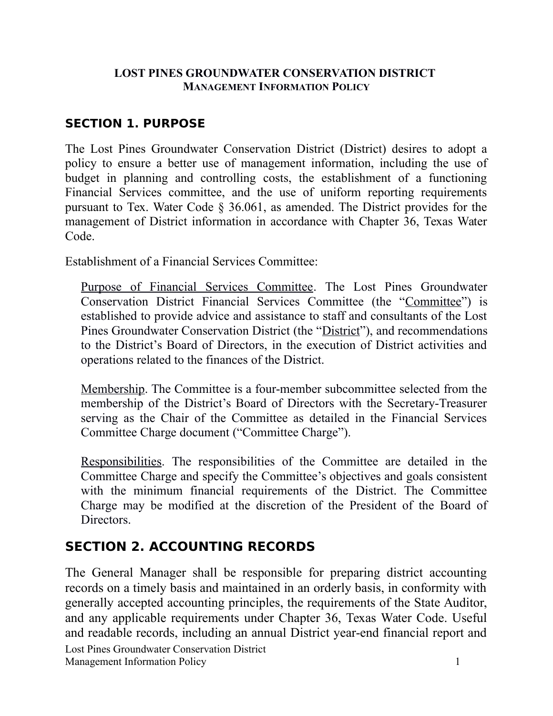#### **LOST PINES GROUNDWATER CONSERVATION DISTRICT MANAGEMENT INFORMATION POLICY**

### **SECTION 1. PURPOSE**

The Lost Pines Groundwater Conservation District (District) desires to adopt a policy to ensure a better use of management information, including the use of budget in planning and controlling costs, the establishment of a functioning Financial Services committee, and the use of uniform reporting requirements pursuant to Tex. Water Code § 36.061, as amended. The District provides for the management of District information in accordance with Chapter 36, Texas Water Code.

Establishment of a Financial Services Committee:

Purpose of Financial Services Committee. The Lost Pines Groundwater Conservation District Financial Services Committee (the "Committee") is established to provide advice and assistance to staff and consultants of the Lost Pines Groundwater Conservation District (the "District"), and recommendations to the District's Board of Directors, in the execution of District activities and operations related to the finances of the District.

Membership. The Committee is a four-member subcommittee selected from the membership of the District's Board of Directors with the Secretary-Treasurer serving as the Chair of the Committee as detailed in the Financial Services Committee Charge document ("Committee Charge").

Responsibilities. The responsibilities of the Committee are detailed in the Committee Charge and specify the Committee's objectives and goals consistent with the minimum financial requirements of the District. The Committee Charge may be modified at the discretion of the President of the Board of Directors.

#### **SECTION 2. ACCOUNTING RECORDS**

The General Manager shall be responsible for preparing district accounting records on a timely basis and maintained in an orderly basis, in conformity with generally accepted accounting principles, the requirements of the State Auditor, and any applicable requirements under Chapter 36, Texas Water Code. Useful and readable records, including an annual District year-end financial report and Lost Pines Groundwater Conservation District Management Information Policy 1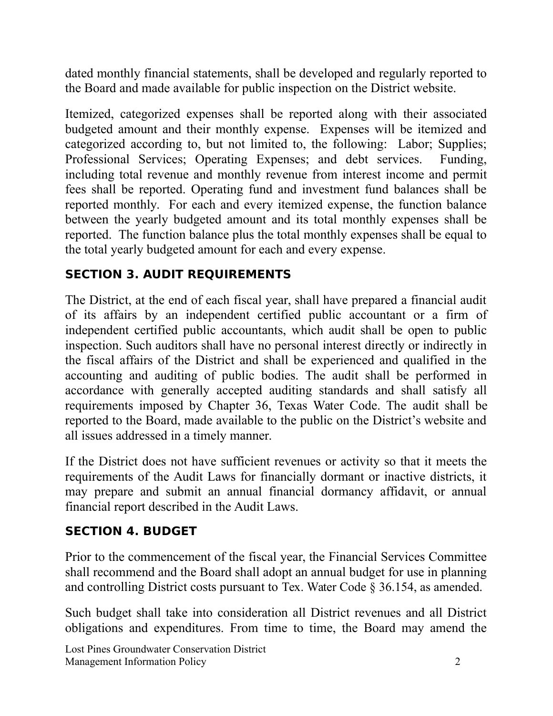dated monthly financial statements, shall be developed and regularly reported to the Board and made available for public inspection on the District website.

Itemized, categorized expenses shall be reported along with their associated budgeted amount and their monthly expense. Expenses will be itemized and categorized according to, but not limited to, the following: Labor; Supplies; Professional Services; Operating Expenses; and debt services. Funding, including total revenue and monthly revenue from interest income and permit fees shall be reported. Operating fund and investment fund balances shall be reported monthly. For each and every itemized expense, the function balance between the yearly budgeted amount and its total monthly expenses shall be reported. The function balance plus the total monthly expenses shall be equal to the total yearly budgeted amount for each and every expense.

# **SECTION 3. AUDIT REQUIREMENTS**

The District, at the end of each fiscal year, shall have prepared a financial audit of its affairs by an independent certified public accountant or a firm of independent certified public accountants, which audit shall be open to public inspection. Such auditors shall have no personal interest directly or indirectly in the fiscal affairs of the District and shall be experienced and qualified in the accounting and auditing of public bodies. The audit shall be performed in accordance with generally accepted auditing standards and shall satisfy all requirements imposed by Chapter 36, Texas Water Code. The audit shall be reported to the Board, made available to the public on the District's website and all issues addressed in a timely manner.

If the District does not have sufficient revenues or activity so that it meets the requirements of the Audit Laws for financially dormant or inactive districts, it may prepare and submit an annual financial dormancy affidavit, or annual financial report described in the Audit Laws.

## **SECTION 4. BUDGET**

Prior to the commencement of the fiscal year, the Financial Services Committee shall recommend and the Board shall adopt an annual budget for use in planning and controlling District costs pursuant to Tex. Water Code § 36.154, as amended.

Such budget shall take into consideration all District revenues and all District obligations and expenditures. From time to time, the Board may amend the